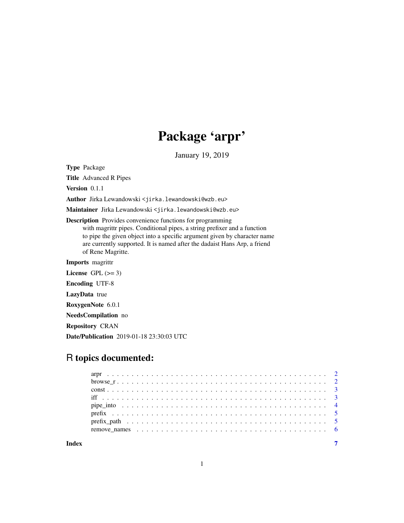# Package 'arpr'

January 19, 2019

<span id="page-0-0"></span>Type Package

Title Advanced R Pipes

Version 0.1.1

Author Jirka Lewandowski <jirka.lewandowski@wzb.eu>

Maintainer Jirka Lewandowski <jirka.lewandowski@wzb.eu>

Description Provides convenience functions for programming

with magrittr pipes. Conditional pipes, a string prefixer and a function to pipe the given object into a specific argument given by character name are currently supported. It is named after the dadaist Hans Arp, a friend of Rene Magritte.

Imports magrittr

License GPL  $(>= 3)$ 

Encoding UTF-8

LazyData true

RoxygenNote 6.0.1

NeedsCompilation no

Repository CRAN

Date/Publication 2019-01-18 23:30:03 UTC

# R topics documented:

| browse $r_1, \ldots, r_k, \ldots, r_k, \ldots, r_k, \ldots, r_k, \ldots, r_k, \ldots, r_k, \ldots, r_k, \ldots, r_k, \ldots, r_k$ |  |
|-----------------------------------------------------------------------------------------------------------------------------------|--|
|                                                                                                                                   |  |
|                                                                                                                                   |  |
|                                                                                                                                   |  |
|                                                                                                                                   |  |
|                                                                                                                                   |  |
|                                                                                                                                   |  |
|                                                                                                                                   |  |

**Index** [7](#page-6-0) **7**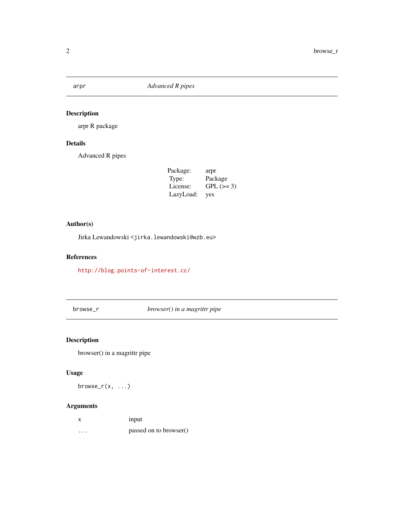<span id="page-1-0"></span>

arpr R package

#### Details

Advanced R pipes

| Package:  | arpr       |
|-----------|------------|
| Type:     | Package    |
| License:  | $GPL (=3)$ |
| LazyLoad: | yes        |

#### Author(s)

Jirka Lewandowski <jirka.lewandowski@wzb.eu>

#### References

<http://blog.points-of-interest.cc/>

browse\_r *browser() in a magrittr pipe*

#### Description

browser() in a magrittr pipe

#### Usage

 $browser(x, ...)$ 

#### Arguments

| x        | input                  |
|----------|------------------------|
| $\cdots$ | passed on to browser() |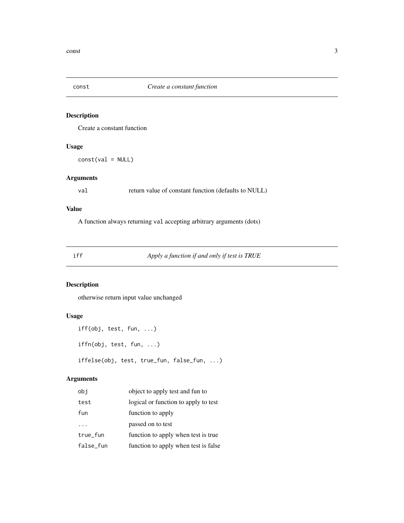<span id="page-2-0"></span>

Create a constant function

#### Usage

 $const(val = NULL)$ 

#### Arguments

val return value of constant function (defaults to NULL)

#### Value

A function always returning val accepting arbitrary arguments (dots)

#### iff *Apply a function if and only if test is TRUE*

#### Description

otherwise return input value unchanged

#### Usage

```
iff(obj, test, fun, ...)
iffn(obj, test, fun, ...)
iffelse(obj, test, true_fun, false_fun, ...)
```
#### Arguments

| obj       | object to apply test and fun to      |
|-----------|--------------------------------------|
| test      | logical or function to apply to test |
| fun       | function to apply                    |
|           | passed on to test                    |
| true_fun  | function to apply when test is true. |
| false_fun | function to apply when test is false |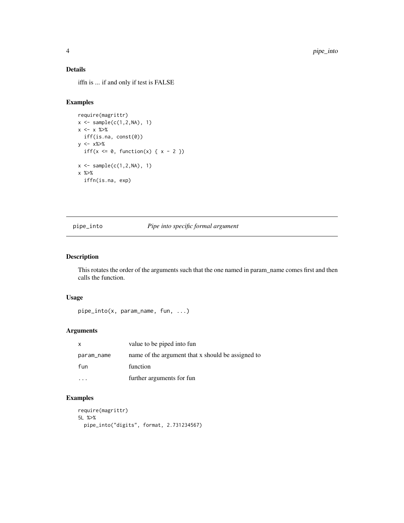#### <span id="page-3-0"></span>Details

iffn is ... if and only if test is FALSE

#### Examples

```
require(magrittr)
x \leftarrow sample(c(1, 2, NA), 1)x \leftarrow x %>%
  iff(is.na, const(0))
y <- x%>%
  iff(x \leq 0, function(x) { x - 2 })
x \leq - sample(c(1,2,NA), 1)
x %>%
  iffn(is.na, exp)
```
pipe\_into *Pipe into specific formal argument*

#### Description

This rotates the order of the arguments such that the one named in param\_name comes first and then calls the function.

#### Usage

```
pipe_into(x, param_name, fun, ...)
```
#### Arguments

| $\mathsf{x}$ | value to be piped into fun                        |
|--------------|---------------------------------------------------|
| param_name   | name of the argument that x should be assigned to |
| fun          | function                                          |
|              | further arguments for fun                         |

#### Examples

```
require(magrittr)
5L %>%
 pipe_into("digits", format, 2.731234567)
```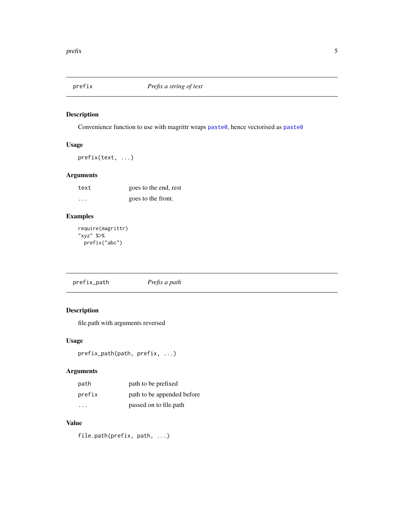<span id="page-4-0"></span>

Convenience function to use with magrittr wraps [paste0](#page-0-0), hence vectorised as paste0

#### Usage

prefix(text, ...)

#### Arguments

| text     | goes to the end, rest |
|----------|-----------------------|
| $\cdots$ | goes to the front.    |

#### Examples

```
require(magrittr)
"xyz" %>%
 prefix("abc")
```
prefix\_path *Prefix a path*

#### Description

file.path with arguments reversed

#### Usage

```
prefix_path(path, prefix, ...)
```
#### Arguments

| path   | path to be prefixed        |
|--------|----------------------------|
| prefix | path to be appended before |
| .      | passed on to file.path     |

#### Value

file.path(prefix, path, ...)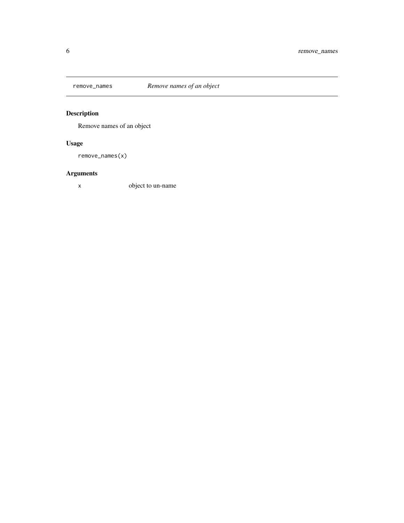<span id="page-5-0"></span>

Remove names of an object

# Usage

remove\_names(x)

# Arguments

x object to un-name